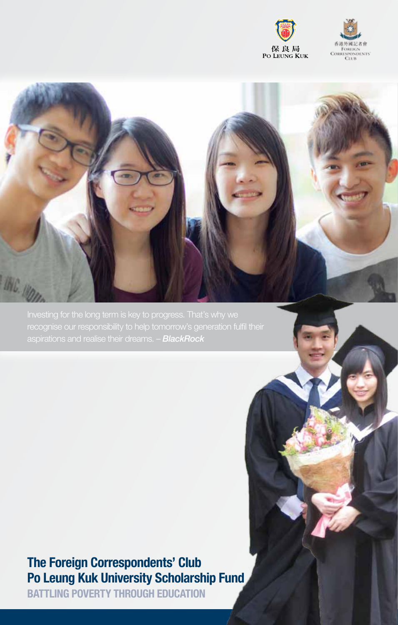





aspirations and realise their dreams. – *BlackRock*

## **The Foreign Correspondents' Club Po Leung Kuk University Scholarship Fund**

**BATTLING POVERTY THROUGH EDUCATION**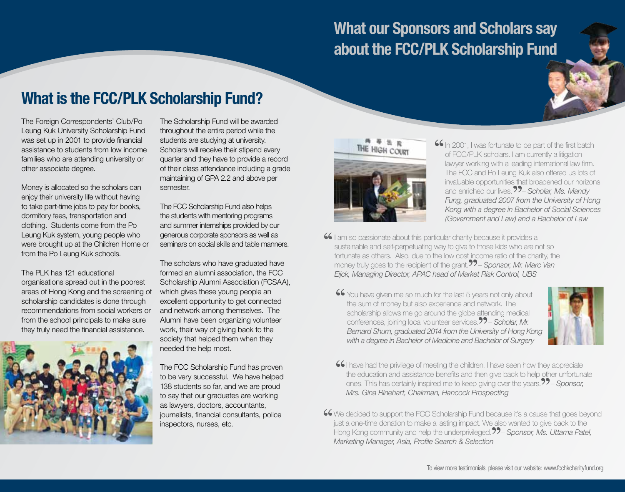## **What our Sponsors and Scholars say about the FCC/PLK Scholarship Fund**

## **What is the FCC/PLK Scholarship Fund?**

The Foreign Correspondents' Club/Po Leung Kuk University Scholarship Fund was set up in 2001 to provide financial assistance to students from low income families who are attending university or other associate degree.

Money is allocated so the scholars can enjoy their university life without having to take part-time jobs to pay for books, dormitory fees, transportation and clothing. Students come from the Po Leung Kuk system, young people who were brought up at the Children Home or from the Po Leung Kuk schools.

The PLK has 121 educational organisations spread out in the poorest areas of Hong Kong and the screening of scholarship candidates is done through recommendations from social workers or from the school principals to make sure they truly need the financial assistance.



The Scholarship Fund will be awarded throughout the entire period while the students are studying at university. Scholars will receive their stipend every quarter and they have to provide a record of their class attendance including a grade maintaining of GPA 2.2 and above per semester.

The FCC Scholarship Fund also helps the students with mentoring programs and summer internships provided by our generous corporate sponsors as well as seminars on social skills and table manners.

The scholars who have graduated have formed an alumni association, the FCC Scholarship Alumni Association (FCSAA), which gives these young people an excellent opportunity to get connected and network among themselves. The Alumni have been organizing volunteer work, their way of giving back to the society that helped them when they needed the help most.

The FCC Scholarship Fund has proven to be very successful. We have helped 138 students so far, and we are proud to say that our graduates are working as lawyers, doctors, accountants, journalists, financial consultants, police inspectors, nurses, etc.



- **66** In 2001, I was fortunate to be part of the first batch of FCC/PLK scholars. I am currently a litigation lawver working with a leading international law firm. of FCC/PLK scholars. I am currently a litigation lawyer working with a leading international law firm. The FCC and Po Leung Kuk also offered us lots of invaluable opportunities that broadened our horizons interface and the Estation Code of the case of the code<br>and enriched our lives. **??**- *Scholar, Ms. Mandy Fung, graduated 2007 from the University of Hong Kong with a degree in Bachelor of Social Sciences (Government and Law) and a Bachelor of Law*
- **66** I am so passionate about this particular charity because it provides a sustainable and self-perpetuating way to give to those kids who are n fortunate as others. Also, due to the low cost income ratio of the cha sustainable and self-perpetuating way to give to those kids who are not so fortunate as others. Also, due to the low cost income ratio of the charity, the bustan laters and son perpetudaning way to give to those ride who are not be<br>fortunate as others. Also, due to the low cost income ratio of the charity, the<br>money truly goes to the recipient of the grant.  $22$ – Sponsor, Mr *Eijck, Managing Director, APAC head of Market Risk Control, UBS*
	- **46** You have given me so much for the last 5 years not only about the sum of money but also experience and network. The scholarship allows me go around the globe attending medical the sum of money but also experience and network. The scholarship allows me go around the globe attending medical conferences, joining local volunteer services.<sup>99</sup> - Scholar, Mr. *Bernard Shum, graduated 2014 from the University of Hong Kong with a degree in Bachelor of Medicine and Bachelor of Surgery*



- **I** have had the privilege of meeting the children. I have seen how they appreciate the education and assistance benefits and then give back to help other unfortune ones. This has certainly inspired me to keep giving over the education and assistance benefits and then give back to help other unfortunate<br>ones. This has certainly inspired me to keep giving over the years  $22$  - Sponsor ones. This has certainly inspired me to keep giving over the years.<sup>77</sup> – *Sponsor, Mrs. Gina Rinehart, Chairman, Hancock Prospecting*
- **46** We decided to support the FCC Scholarship Fund because it's a cause that goes beyond just a one-time donation to make a lasting impact. We also wanted to give back to the Hong Kong community and help the underprivileg just a one-time donation to make a lasting impact. We also wanted to give back to the<br>Hong Kong community and help the underprivileged 22 - Sponsor Ms. I Ittama Pate Hong Kong community and help the underprivileged. – *Sponsor, Ms. Uttama Patel, Marketing Manager, Asia, Profile Search & Selection*